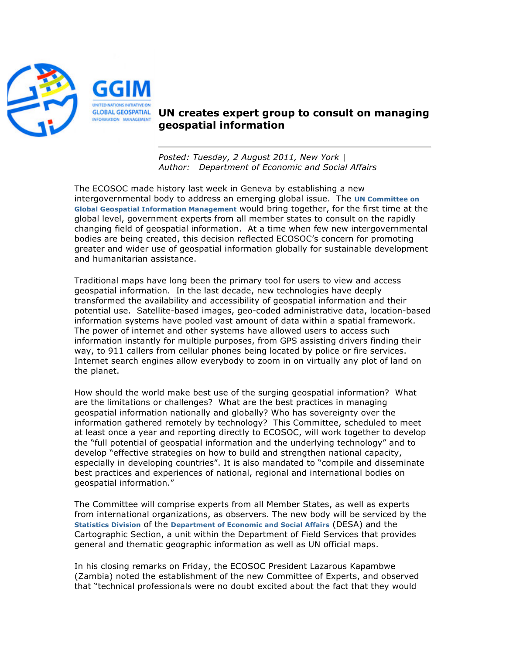

## **UN creates expert group to consult on managing geospatial information**

*Posted: Tuesday, 2 August 2011, New York | Author: Department of Economic and Social Affairs*

The ECOSOC made history last week in Geneva by establishing a new intergovernmental body to address an emerging global issue. The **UN Committee on Global Geospatial Information Management** would bring together, for the first time at the global level, government experts from all member states to consult on the rapidly changing field of geospatial information. At a time when few new intergovernmental bodies are being created, this decision reflected ECOSOC's concern for promoting greater and wider use of geospatial information globally for sustainable development and humanitarian assistance.

Traditional maps have long been the primary tool for users to view and access geospatial information. In the last decade, new technologies have deeply transformed the availability and accessibility of geospatial information and their potential use. Satellite-based images, geo-coded administrative data, location-based information systems have pooled vast amount of data within a spatial framework. The power of internet and other systems have allowed users to access such information instantly for multiple purposes, from GPS assisting drivers finding their way, to 911 callers from cellular phones being located by police or fire services. Internet search engines allow everybody to zoom in on virtually any plot of land on the planet.

How should the world make best use of the surging geospatial information? What are the limitations or challenges? What are the best practices in managing geospatial information nationally and globally? Who has sovereignty over the information gathered remotely by technology? This Committee, scheduled to meet at least once a year and reporting directly to ECOSOC, will work together to develop the "full potential of geospatial information and the underlying technology" and to develop "effective strategies on how to build and strengthen national capacity, especially in developing countries". It is also mandated to "compile and disseminate best practices and experiences of national, regional and international bodies on geospatial information."

The Committee will comprise experts from all Member States, as well as experts from international organizations, as observers. The new body will be serviced by the **Statistics Division** of the **Department of Economic and Social Affairs** (DESA) and the Cartographic Section, a unit within the Department of Field Services that provides general and thematic geographic information as well as UN official maps.

In his closing remarks on Friday, the ECOSOC President Lazarous Kapambwe (Zambia) noted the establishment of the new Committee of Experts, and observed that "technical professionals were no doubt excited about the fact that they would